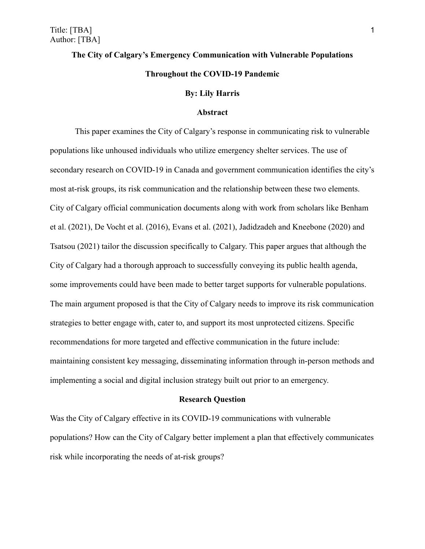# **The City of Calgary's Emergency Communication with Vulnerable Populations Throughout the COVID-19 Pandemic**

### **By: Lily Harris**

## **Abstract**

This paper examines the City of Calgary's response in communicating risk to vulnerable populations like unhoused individuals who utilize emergency shelter services. The use of secondary research on COVID-19 in Canada and government communication identifies the city's most at-risk groups, its risk communication and the relationship between these two elements. City of Calgary official communication documents along with work from scholars like Benham et al. (2021), De Vocht et al. (2016), Evans et al. (2021), Jadidzadeh and Kneebone (2020) and Tsatsou (2021) tailor the discussion specifically to Calgary. This paper argues that although the City of Calgary had a thorough approach to successfully conveying its public health agenda, some improvements could have been made to better target supports for vulnerable populations. The main argument proposed is that the City of Calgary needs to improve its risk communication strategies to better engage with, cater to, and support its most unprotected citizens. Specific recommendations for more targeted and effective communication in the future include: maintaining consistent key messaging, disseminating information through in-person methods and implementing a social and digital inclusion strategy built out prior to an emergency.

#### **Research Question**

Was the City of Calgary effective in its COVID-19 communications with vulnerable populations? How can the City of Calgary better implement a plan that effectively communicates risk while incorporating the needs of at-risk groups?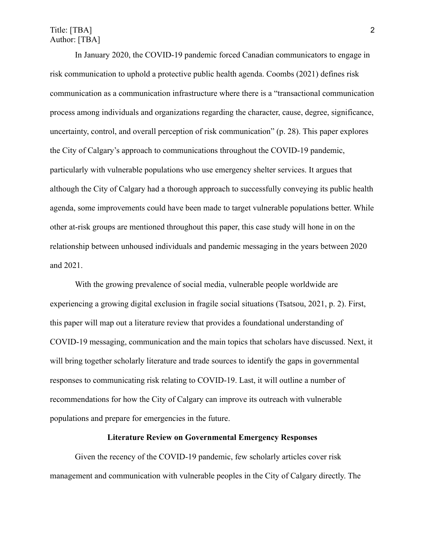## Title: [TBA] 2 Author: [TBA]

In January 2020, the COVID-19 pandemic forced Canadian communicators to engage in risk communication to uphold a protective public health agenda. Coombs (2021) defines risk communication as a communication infrastructure where there is a "transactional communication process among individuals and organizations regarding the character, cause, degree, significance, uncertainty, control, and overall perception of risk communication" (p. 28). This paper explores the City of Calgary's approach to communications throughout the COVID-19 pandemic, particularly with vulnerable populations who use emergency shelter services. It argues that although the City of Calgary had a thorough approach to successfully conveying its public health agenda, some improvements could have been made to target vulnerable populations better. While other at-risk groups are mentioned throughout this paper, this case study will hone in on the relationship between unhoused individuals and pandemic messaging in the years between 2020 and 2021.

With the growing prevalence of social media, vulnerable people worldwide are experiencing a growing digital exclusion in fragile social situations (Tsatsou, 2021, p. 2). First, this paper will map out a literature review that provides a foundational understanding of COVID-19 messaging, communication and the main topics that scholars have discussed. Next, it will bring together scholarly literature and trade sources to identify the gaps in governmental responses to communicating risk relating to COVID-19. Last, it will outline a number of recommendations for how the City of Calgary can improve its outreach with vulnerable populations and prepare for emergencies in the future.

## **Literature Review on Governmental Emergency Responses**

Given the recency of the COVID-19 pandemic, few scholarly articles cover risk management and communication with vulnerable peoples in the City of Calgary directly. The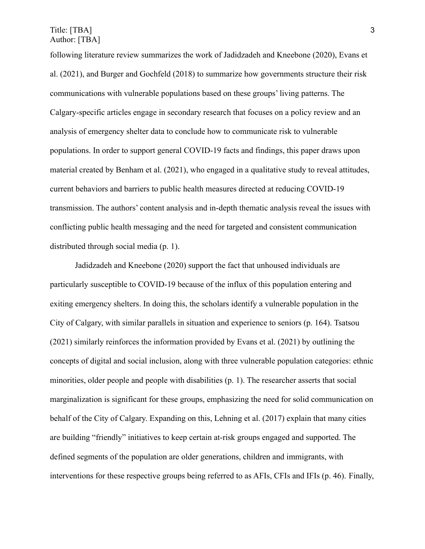Title: [TBA] 3 Author: [TBA]

following literature review summarizes the work of Jadidzadeh and Kneebone (2020), Evans et al. (2021), and Burger and Gochfeld (2018) to summarize how governments structure their risk communications with vulnerable populations based on these groups' living patterns. The Calgary-specific articles engage in secondary research that focuses on a policy review and an analysis of emergency shelter data to conclude how to communicate risk to vulnerable populations. In order to support general COVID-19 facts and findings, this paper draws upon material created by Benham et al. (2021), who engaged in a qualitative study to reveal attitudes, current behaviors and barriers to public health measures directed at reducing COVID-19 transmission. The authors' content analysis and in-depth thematic analysis reveal the issues with conflicting public health messaging and the need for targeted and consistent communication distributed through social media (p. 1).

Jadidzadeh and Kneebone (2020) support the fact that unhoused individuals are particularly susceptible to COVID-19 because of the influx of this population entering and exiting emergency shelters. In doing this, the scholars identify a vulnerable population in the City of Calgary, with similar parallels in situation and experience to seniors (p. 164). [Tsatsou](https://www-tandfonline-com.libproxy.mtroyal.ca/author/Tsatsou%2C+Panayiota) (2021) similarly reinforces the information provided by Evans et al. (2021) by outlining the concepts of digital and social inclusion, along with three vulnerable population categories: ethnic minorities, older people and people with disabilities (p. 1). The researcher asserts that social marginalization is significant for these groups, emphasizing the need for solid communication on behalf of the City of Calgary. Expanding on this, Lehning et al. (2017) explain that many cities are building "friendly" initiatives to keep certain at-risk groups engaged and supported. The defined segments of the population are older generations, children and immigrants, with interventions for these respective groups being referred to as AFIs, CFIs and IFIs (p. 46). Finally,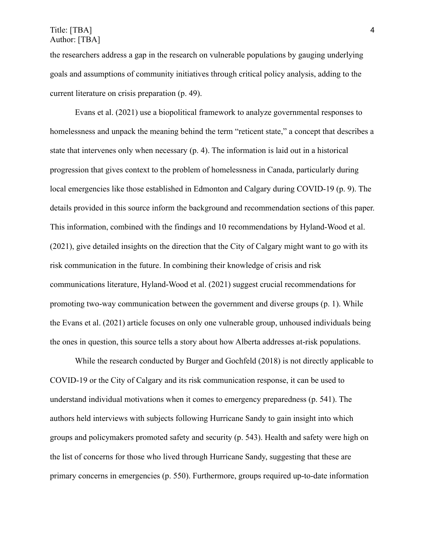## Title: [TBA] 4 Author: [TBA]

the researchers address a gap in the research on vulnerable populations by gauging underlying goals and assumptions of community initiatives through critical policy analysis, adding to the current literature on crisis preparation (p. 49).

Evans et al. (2021) use a biopolitical framework to analyze governmental responses to homelessness and unpack the meaning behind the term "reticent state," a concept that describes a state that intervenes only when necessary (p. 4). The information is laid out in a historical progression that gives context to the problem of homelessness in Canada, particularly during local emergencies like those established in Edmonton and Calgary during COVID-19 (p. 9). The details provided in this source inform the background and recommendation sections of this paper. This information, combined with the findings and 10 recommendations by Hyland-Wood et al. (2021), give detailed insights on the direction that the City of Calgary might want to go with its risk communication in the future. In combining their knowledge of crisis and risk communications literature, Hyland-Wood et al. (2021) suggest crucial recommendations for promoting two-way communication between the government and diverse groups (p. 1). While the Evans et al. (2021) article focuses on only one vulnerable group, unhoused individuals being the ones in question, this source tells a story about how Alberta addresses at-risk populations.

While the research conducted by Burger and Gochfeld (2018) is not directly applicable to COVID-19 or the City of Calgary and its risk communication response, it can be used to understand individual motivations when it comes to emergency preparedness (p. 541). The authors held interviews with subjects following Hurricane Sandy to gain insight into which groups and policymakers promoted safety and security (p. 543). Health and safety were high on the list of concerns for those who lived through Hurricane Sandy, suggesting that these are primary concerns in emergencies (p. 550). Furthermore, groups required up-to-date information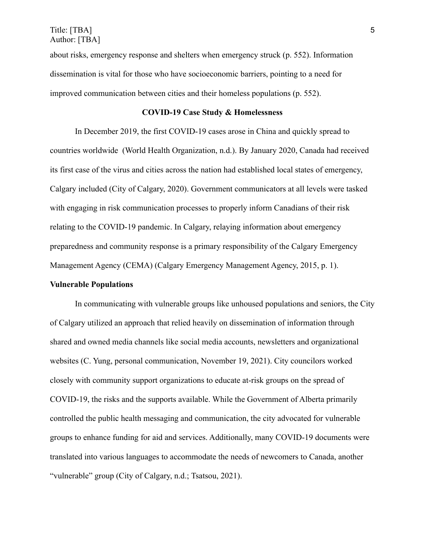about risks, emergency response and shelters when emergency struck (p. 552). Information dissemination is vital for those who have socioeconomic barriers, pointing to a need for improved communication between cities and their homeless populations (p. 552).

## **COVID-19 Case Study & Homelessness**

In December 2019, the first COVID-19 cases arose in China and quickly spread to countries worldwide (World Health Organization, n.d.). By January 2020, Canada had received its first case of the virus and cities across the nation had established local states of emergency, Calgary included (City of Calgary, 2020). Government communicators at all levels were tasked with engaging in risk communication processes to properly inform Canadians of their risk relating to the COVID-19 pandemic. In Calgary, relaying information about emergency preparedness and community response is a primary responsibility of the Calgary Emergency Management Agency (CEMA) (Calgary Emergency Management Agency, 2015, p. 1).

## **Vulnerable Populations**

In communicating with vulnerable groups like unhoused populations and seniors, the City of Calgary utilized an approach that relied heavily on dissemination of information through shared and owned media channels like social media accounts, newsletters and organizational websites (C. Yung, personal communication, November 19, 2021). City councilors worked closely with community support organizations to educate at-risk groups on the spread of COVID-19, the risks and the supports available. While the Government of Alberta primarily controlled the public health messaging and communication, the city advocated for vulnerable groups to enhance funding for aid and services. Additionally, many COVID-19 documents were translated into various languages to accommodate the needs of newcomers to Canada, another "vulnerable" group (City of Calgary, n.d.; [Tsatsou,](https://www-tandfonline-com.libproxy.mtroyal.ca/author/Tsatsou%2C+Panayiota) 2021).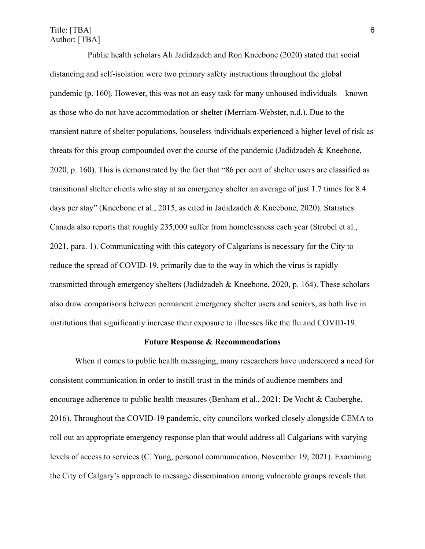# Title: [TBA] 6 Author: [TBA]

Public health scholars Ali Jadidzadeh and Ron Kneebone (2020) stated that social distancing and self-isolation were two primary safety instructions throughout the global pandemic (p. 160). However, this was not an easy task for many unhoused individuals—known as those who do not have accommodation or shelter (Merriam-Webster, n.d.). Due to the transient nature of shelter populations, houseless individuals experienced a higher level of risk as threats for this group compounded over the course of the pandemic (Jadidzadeh & Kneebone, 2020, p. 160). This is demonstrated by the fact that "86 per cent of shelter users are classified as transitional shelter clients who stay at an emergency shelter an average of just 1.7 times for 8.4 days per stay" (Kneebone et al., 2015, as cited in Jadidzadeh & Kneebone, 2020). Statistics Canada also reports that roughly 235,000 suffer from homelessness each year (Strobel et al., 2021, para. 1). Communicating with this category of Calgarians is necessary for the City to reduce the spread of COVID-19, primarily due to the way in which the virus is rapidly transmitted through emergency shelters (Jadidzadeh & Kneebone, 2020, p. 164). These scholars also draw comparisons between permanent emergency shelter users and seniors, as both live in institutions that significantly increase their exposure to illnesses like the flu and COVID-19.

## **Future Response & Recommendations**

When it comes to public health messaging, many researchers have underscored a need for consistent communication in order to instill trust in the minds of audience members and encourage adherence to public health measures (Benham et al., 2021; De Vocht & Cauberghe, 2016). Throughout the COVID-19 pandemic, city councilors worked closely alongside CEMA to roll out an appropriate emergency response plan that would address all Calgarians with varying levels of access to services (C. Yung, personal communication, November 19, 2021). Examining the City of Calgary's approach to message dissemination among vulnerable groups reveals that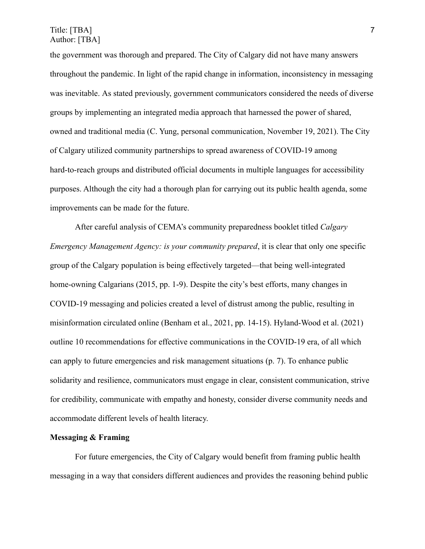Title: [TBA] 7 Author: [TBA]

the government was thorough and prepared. The City of Calgary did not have many answers throughout the pandemic. In light of the rapid change in information, inconsistency in messaging was inevitable. As stated previously, government communicators considered the needs of diverse groups by implementing an integrated media approach that harnessed the power of shared, owned and traditional media (C. Yung, personal communication, November 19, 2021). The City of Calgary utilized community partnerships to spread awareness of COVID-19 among hard-to-reach groups and distributed official documents in multiple languages for accessibility purposes. Although the city had a thorough plan for carrying out its public health agenda, some improvements can be made for the future.

After careful analysis of CEMA's community preparedness booklet titled *Calgary Emergency Management Agency: is your community prepared*, it is clear that only one specific group of the Calgary population is being effectively targeted—that being well-integrated home-owning Calgarians (2015, pp. 1-9). Despite the city's best efforts, many changes in COVID-19 messaging and policies created a level of distrust among the public, resulting in misinformation circulated online (Benham et al., 2021, pp. 14-15). Hyland-Wood et al. (2021) outline 10 recommendations for effective communications in the COVID-19 era, of all which can apply to future emergencies and risk management situations (p. 7). To enhance public solidarity and resilience, communicators must engage in clear, consistent communication, strive for credibility, communicate with empathy and honesty, consider diverse community needs and accommodate different levels of health literacy.

## **Messaging & Framing**

For future emergencies, the City of Calgary would benefit from framing public health messaging in a way that considers different audiences and provides the reasoning behind public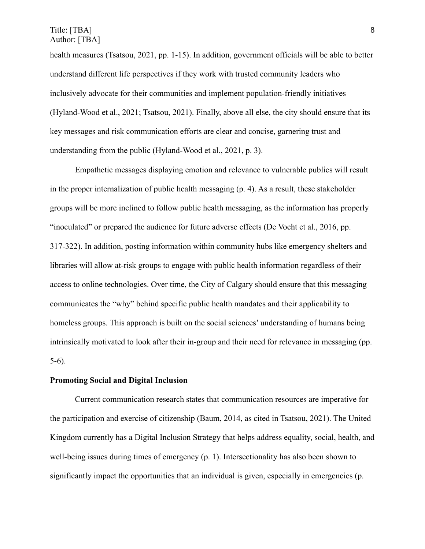health measures (Tsatsou, 2021, pp. 1-15). In addition, government officials will be able to better understand different life perspectives if they work with trusted community leaders who inclusively advocate for their communities and implement population-friendly initiatives (Hyland-Wood et al., 2021; Tsatsou, 2021). Finally, above all else, the city should ensure that its key messages and risk communication efforts are clear and concise, garnering trust and understanding from the public (Hyland-Wood et al., 2021, p. 3).

Empathetic messages displaying emotion and relevance to vulnerable publics will result in the proper internalization of public health messaging (p. 4). As a result, these stakeholder groups will be more inclined to follow public health messaging, as the information has properly "inoculated" or prepared the audience for future adverse effects (De Vocht et al., 2016, pp. 317-322). In addition, posting information within community hubs like emergency shelters and libraries will allow at-risk groups to engage with public health information regardless of their access to online technologies. Over time, the City of Calgary should ensure that this messaging communicates the "why" behind specific public health mandates and their applicability to homeless groups. This approach is built on the social sciences' understanding of humans being intrinsically motivated to look after their in-group and their need for relevance in messaging (pp. 5-6).

#### **Promoting Social and Digital Inclusion**

Current communication research states that communication resources are imperative for the participation and exercise of citizenship (Baum, 2014, as cited in Tsatsou, 2021). The United Kingdom currently has a Digital Inclusion Strategy that helps address equality, social, health, and well-being issues during times of emergency (p. 1). Intersectionality has also been shown to significantly impact the opportunities that an individual is given, especially in emergencies (p.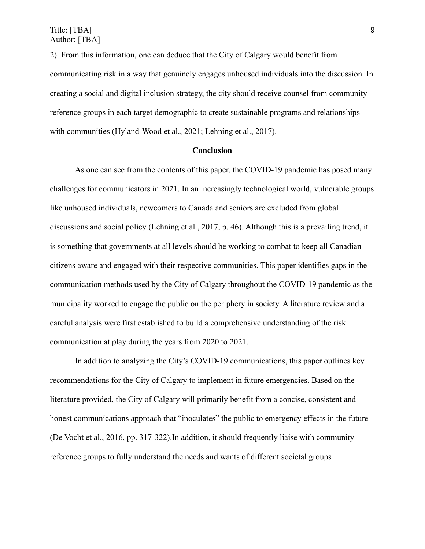2). From this information, one can deduce that the City of Calgary would benefit from communicating risk in a way that genuinely engages unhoused individuals into the discussion. In creating a social and digital inclusion strategy, the city should receive counsel from community reference groups in each target demographic to create sustainable programs and relationships with communities (Hyland-Wood et al., 2021; Lehning et al., 2017).

#### **Conclusion**

As one can see from the contents of this paper, the COVID-19 pandemic has posed many challenges for communicators in 2021. In an increasingly technological world, vulnerable groups like unhoused individuals, newcomers to Canada and seniors are excluded from global discussions and social policy (Lehning et al., 2017, p. 46). Although this is a prevailing trend, it is something that governments at all levels should be working to combat to keep all Canadian citizens aware and engaged with their respective communities. This paper identifies gaps in the communication methods used by the City of Calgary throughout the COVID-19 pandemic as the municipality worked to engage the public on the periphery in society. A literature review and a careful analysis were first established to build a comprehensive understanding of the risk communication at play during the years from 2020 to 2021.

In addition to analyzing the City's COVID-19 communications, this paper outlines key recommendations for the City of Calgary to implement in future emergencies. Based on the literature provided, the City of Calgary will primarily benefit from a concise, consistent and honest communications approach that "inoculates" the public to emergency effects in the future (De Vocht et al., 2016, pp. 317-322).In addition, it should frequently liaise with community reference groups to fully understand the needs and wants of different societal groups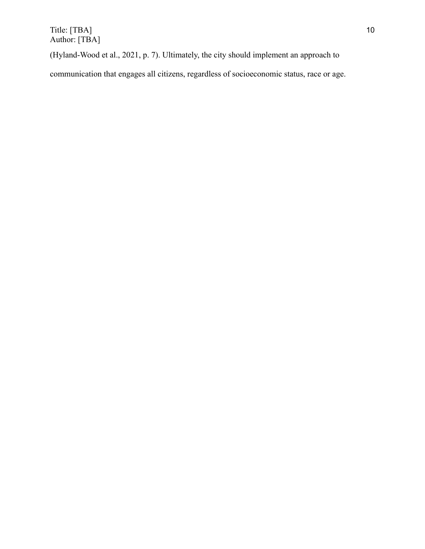$\text{Title: [TBA]}$  10 Author: [TBA]

(Hyland-Wood et al., 2021, p. 7). Ultimately, the city should implement an approach to

communication that engages all citizens, regardless of socioeconomic status, race or age.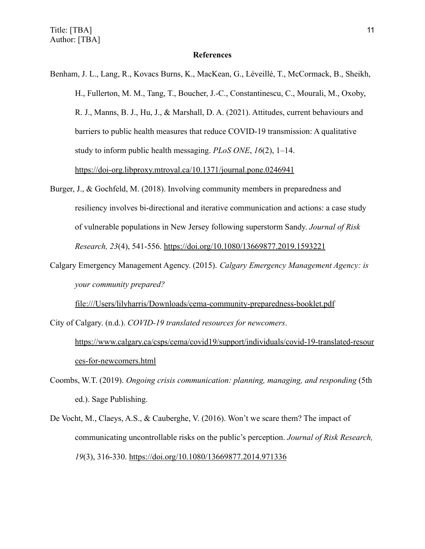### **References**

- Benham, J. L., Lang, R., Kovacs Burns, K., MacKean, G., Léveillé, T., McCormack, B., Sheikh, H., Fullerton, M. M., Tang, T., Boucher, J.-C., Constantinescu, C., Mourali, M., Oxoby, R. J., Manns, B. J., Hu, J., & Marshall, D. A. (2021). Attitudes, current behaviours and barriers to public health measures that reduce COVID-19 transmission: A qualitative study to inform public health messaging. *PLoS ONE*, *16*(2), 1–14. https://doi-org.libproxy.mtroyal.ca/10.1371/journal.pone.0246941
- Burger, J., & Gochfeld, M. (2018). Involving community members in preparedness and resiliency involves bi-directional and iterative communication and actions: a case study of vulnerable populations in New Jersey following superstorm Sandy. *Journal of Risk Research, 23*(4), 541-556. <https://doi.org/10.1080/13669877.2019.1593221>
- Calgary Emergency Management Agency. (2015). *Calgary Emergency Management Agency: is your community prepared?*

file:///Users/lilyharris/Downloads/cema-community-preparedness-booklet.pdf

City of Calgary. (n.d.). *COVID-19 translated resources for newcomers*.

[https://www.calgary.ca/csps/cema/covid19/support/individuals/covid-19-translated-resour](https://www.calgary.ca/csps/cema/covid19/support/individuals/covid-19-translated-resources-for-newcomers.html) [ces-for-newcomers.html](https://www.calgary.ca/csps/cema/covid19/support/individuals/covid-19-translated-resources-for-newcomers.html)

- Coombs, W.T. (2019). *Ongoing crisis communication: planning, managing, and responding* (5th ed.). Sage Publishing.
- De Vocht, M., Claeys, A.S., & Cauberghe, V. (2016). Won't we scare them? The impact of communicating uncontrollable risks on the public's perception. *Journal of Risk Research, 19*(3), 316-330. <https://doi.org/10.1080/13669877.2014.971336>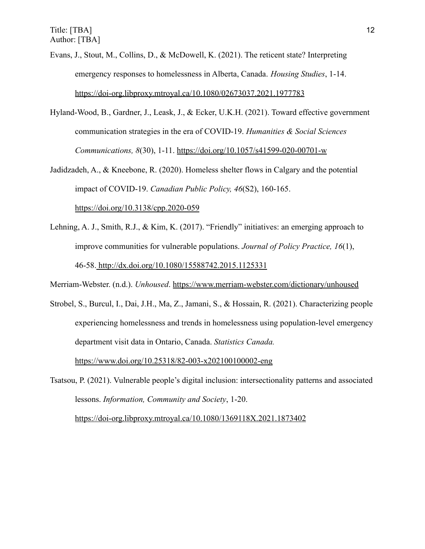Evans, J., Stout, M., Collins, D., & McDowell, K. (2021). The reticent state? Interpreting emergency responses to homelessness in Alberta, Canada. *Housing Studies*, 1-14. <https://doi-org.libproxy.mtroyal.ca/10.1080/02673037.2021.1977783>

- Hyland-Wood, B., Gardner, J., Leask, J., & Ecker, U.K.H. (2021). Toward effective government communication strategies in the era of COVID-19. *Humanities & Social Sciences Communications, 8*(30), 1-11. https://doi.org/10.1057/s41599-020-00701-w
- Jadidzadeh, A., & Kneebone, R. (2020). Homeless shelter flows in Calgary and the potential impact of COVID-19. *Canadian Public Policy, 46*(S2), 160-165. <https://doi.org/10.3138/cpp.2020-059>
- Lehning, A. J., Smith, R.J., & Kim, K. (2017). "Friendly" initiatives: an emerging approach to improve communities for vulnerable populations. *Journal of Policy Practice, 16*(1), 46-58. <http://dx.doi.org/10.1080/15588742.2015.1125331>

Merriam-Webster. (n.d.). *Unhoused*. https://www.merriam-webster.com/dictionary/unhoused

Strobel, S., Burcul, I., Dai, J.H., Ma, Z., Jamani, S., & Hossain, R. (2021). Characterizing people experiencing homelessness and trends in homelessness using population-level emergency department visit data in Ontario, Canada. *Statistics Canada.* <https://www.doi.org/10.25318/82-003-x202100100002-eng>

Tsatsou, P. (2021). Vulnerable people's digital inclusion: intersectionality patterns and associated lessons. *Information, Community and Society*, 1-20.

<https://doi-org.libproxy.mtroyal.ca/10.1080/1369118X.2021.1873402>